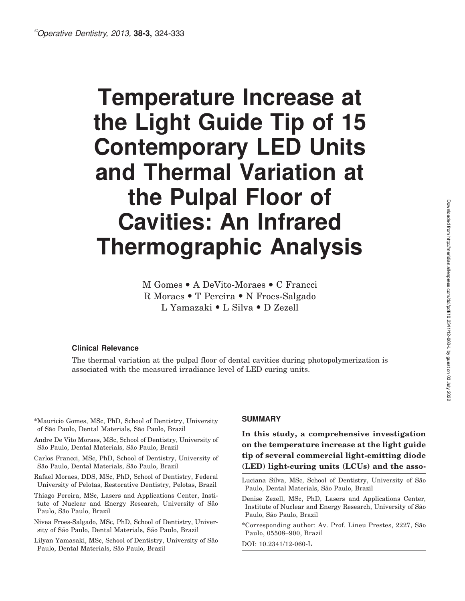# Temperature Increase at the Light Guide Tip of 15 Contemporary LED Units and Thermal Variation at the Pulpal Floor of Cavities: An Infrared Thermographic Analysis

# M Gomes • A DeVito-Moraes • C Francci R Moraes · T Pereira · N Froes-Salgado L Yamazaki • L Silva • D Zezell

#### Clinical Relevance

The thermal variation at the pulpal floor of dental cavities during photopolymerization is associated with the measured irradiance level of LED curing units.

- Carlos Francci, MSc, PhD, School of Dentistry, University of São Paulo, Dental Materials, São Paulo, Brazil
- Rafael Moraes, DDS, MSc, PhD, School of Dentistry, Federal University of Pelotas, Restorative Dentistry, Pelotas, Brazil
- Thiago Pereira, MSc, Lasers and Applications Center, Institute of Nuclear and Energy Research, University of São Paulo, São Paulo, Brazil
- Nivea Froes-Salgado, MSc, PhD, School of Dentistry, University of São Paulo, Dental Materials, São Paulo, Brazil
- Lilyan Yamasaki, MSc, School of Dentistry, University of São Paulo, Dental Materials, São Paulo, Brazil

#### SUMMARY

# In this study, a comprehensive investigation on the temperature increase at the light guide tip of several commercial light-emitting diode (LED) light-curing units (LCUs) and the asso-

- Luciana Silva, MSc, School of Dentistry, University of São Paulo, Dental Materials, São Paulo, Brazil
- Denise Zezell, MSc, PhD, Lasers and Applications Center, Institute of Nuclear and Energy Research, University of São Paulo, São Paulo, Brazil
- \*Corresponding author: Av. Prof. Lineu Prestes, 2227, Sa˜o Paulo, 05508–900, Brazil

DOI: 10.2341/12-060-L

<sup>\*</sup>Mauricio Gomes, MSc, PhD, School of Dentistry, University of São Paulo, Dental Materials, São Paulo, Brazil

Andre De Vito Moraes, MSc, School of Dentistry, University of São Paulo, Dental Materials, São Paulo, Brazil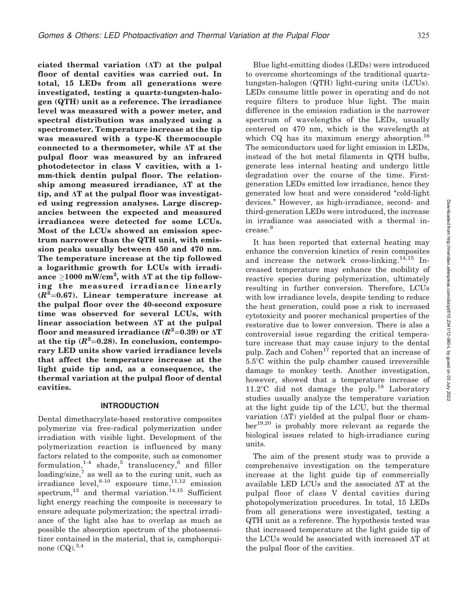ciated thermal variation  $(\Delta T)$  at the pulpal floor of dental cavities was carried out. In total, 15 LEDs from all generations were investigated, testing a quartz-tungsten-halogen (QTH) unit as a reference. The irradiance level was measured with a power meter, and spectral distribution was analyzed using a spectrometer. Temperature increase at the tip was measured with a type-K thermocouple connected to a thermometer, while  $\Delta T$  at the pulpal floor was measured by an infrared photodetector in class V cavities, with a 1 mm-thick dentin pulpal floor. The relationship among measured irradiance,  $\Delta T$  at the tip, and  $\Delta T$  at the pulpal floor was investigated using regression analyses. Large discrepancies between the expected and measured irradiances were detected for some LCUs. Most of the LCUs showed an emission spectrum narrower than the QTH unit, with emission peaks usually between 450 and 470 nm. The temperature increase at the tip followed a logarithmic growth for LCUs with irradiance  $\geq$ 1000 mW/cm<sup>2</sup>, with  $\Delta$ T at the tip following the measured irradiance linearly  $(R^{2}=0.67)$ . Linear temperature increase at the pulpal floor over the 40-second exposure time was observed for several LCUs, with linear association between  $\Delta T$  at the pulpal floor and measured irradiance ( $R^2{=}0.39)$  or  $\Delta\rm{T}$ at the tip  $(R^2=0.28)$ . In conclusion, contemporary LED units show varied irradiance levels that affect the temperature increase at the light guide tip and, as a consequence, the thermal variation at the pulpal floor of dental cavities.

#### INTRODUCTION

Dental dimethacrylate-based restorative composites polymerize via free-radical polymerization under irradiation with visible light. Development of the polymerization reaction is influenced by many factors related to the composite, such as comonomer formulation, $1-4$  shade,<sup>5</sup> translucency,<sup>6</sup> and filler loading/size, $\frac{7}{7}$  as well as to the curing unit, such as irradiance level,  $8-10$  exposure time, $11,12$  emission  $spectrum<sup>13</sup>$  and thermal variation.<sup>14,15</sup> Sufficient light energy reaching the composite is necessary to ensure adequate polymerization; the spectral irradiance of the light also has to overlap as much as possible the absorption spectrum of the photosensitizer contained in the material, that is, camphorquinone  $(CQ)$ ,  $^{3,4}$ 

Blue light-emitting diodes (LEDs) were introduced to overcome shortcomings of the traditional quartztungsten-halogen (QTH) light-curing units (LCUs). LEDs consume little power in operating and do not require filters to produce blue light. The main difference in the emission radiation is the narrower spectrum of wavelengths of the LEDs, usually centered on 470 nm, which is the wavelength at which CQ has its maximum energy absorption.<sup>16</sup> The semiconductors used for light emission in LEDs, instead of the hot metal filaments in QTH bulbs, generate less internal heating and undergo little degradation over the course of the time. Firstgeneration LEDs emitted low irradiance, hence they generated low heat and were considered ''cold-light devices.'' However, as high-irradiance, second- and third-generation LEDs were introduced, the increase in irradiance was associated with a thermal increase.9

It has been reported that external heating may enhance the conversion kinetics of resin composites and increase the network cross-linking.<sup>14,15</sup> Increased temperature may enhance the mobility of reactive species during polymerization, ultimately resulting in further conversion. Therefore, LCUs with low irradiance levels, despite tending to reduce the heat generation, could pose a risk to increased cytotoxicity and poorer mechanical properties of the restorative due to lower conversion. There is also a controversial issue regarding the critical temperature increase that may cause injury to the dental pulp. Zach and Cohen<sup>17</sup> reported that an increase of  $5.5^{\circ}$ C within the pulp chamber caused irreversible damage to monkey teeth. Another investigation, however, showed that a temperature increase of  $11.2^{\circ}$ C did not damage the pulp.<sup>18</sup> Laboratory studies usually analyze the temperature variation at the light guide tip of the LCU, but the thermal variation  $(\Delta T)$  yielded at the pulpal floor or chamber19,20 is probably more relevant as regards the biological issues related to high-irradiance curing units.

The aim of the present study was to provide a comprehensive investigation on the temperature increase at the light guide tip of commercially available LED LCUs and the associated  $\Delta T$  at the pulpal floor of class V dental cavities during photopolymerization procedures. In total, 15 LEDs from all generations were investigated, testing a QTH unit as a reference. The hypothesis tested was that increased temperature at the light guide tip of the LCUs would be associated with increased  $\Delta T$  at the pulpal floor of the cavities.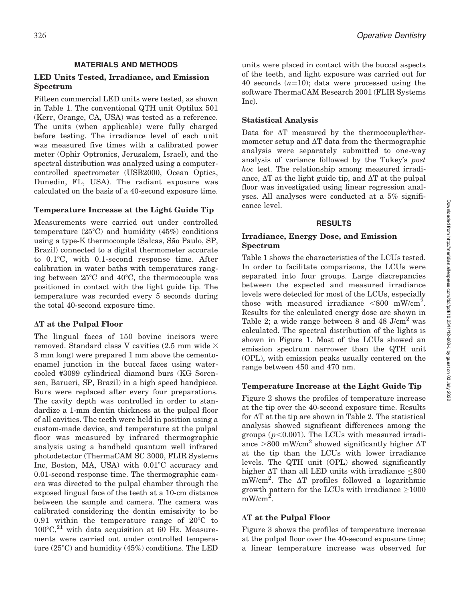### MATERIALS AND METHODS

## LED Units Tested, Irradiance, and Emission Spectrum

Fifteen commercial LED units were tested, as shown in Table 1. The conventional QTH unit Optilux 501 (Kerr, Orange, CA, USA) was tested as a reference. The units (when applicable) were fully charged before testing. The irradiance level of each unit was measured five times with a calibrated power meter (Ophir Optronics, Jerusalem, Israel), and the spectral distribution was analyzed using a computercontrolled spectrometer (USB2000, Ocean Optics, Dunedin, FL, USA). The radiant exposure was calculated on the basis of a 40-second exposure time.

# Temperature Increase at the Light Guide Tip

Measurements were carried out under controlled temperature  $(25^{\circ}C)$  and humidity  $(45%)$  conditions using a type-K thermocouple (Salcas, São Paulo, SP, Brazil) connected to a digital thermometer accurate to  $0.1^{\circ}$ C, with  $0.1$ -second response time. After calibration in water baths with temperatures ranging between  $25^{\circ}$ C and  $40^{\circ}$ C, the thermocouple was positioned in contact with the light guide tip. The temperature was recorded every 5 seconds during the total 40-second exposure time.

### $\Delta T$  at the Pulpal Floor

The lingual faces of 150 bovine incisors were removed. Standard class V cavities (2.5 mm wide  $\times$ 3 mm long) were prepared 1 mm above the cementoenamel junction in the buccal faces using watercooled #3099 cylindrical diamond burs (KG Sorensen, Barueri, SP, Brazil) in a high speed handpiece. Burs were replaced after every four preparations. The cavity depth was controlled in order to standardize a 1-mm dentin thickness at the pulpal floor of all cavities. The teeth were held in position using a custom-made device, and temperature at the pulpal floor was measured by infrared thermographic analysis using a handheld quantum well infrared photodetector (ThermaCAM SC 3000, FLIR Systems Inc, Boston, MA, USA) with  $0.01^{\circ}$ C accuracy and 0.01-second response time. The thermographic camera was directed to the pulpal chamber through the exposed lingual face of the teeth at a 10-cm distance between the sample and camera. The camera was calibrated considering the dentin emissivity to be 0.91 within the temperature range of  $20^{\circ}$ C to  $100^{\circ}$ C,<sup>21</sup> with data acquisition at 60 Hz. Measurements were carried out under controlled temperature  $(25^{\circ}C)$  and humidity  $(45\%)$  conditions. The LED units were placed in contact with the buccal aspects of the teeth, and light exposure was carried out for 40 seconds  $(n=10)$ ; data were processed using the software ThermaCAM Research 2001 (FLIR Systems Inc).

# Statistical Analysis

Data for  $\Delta T$  measured by the thermocouple/thermometer setup and  $\Delta T$  data from the thermographic analysis were separately submitted to one-way analysis of variance followed by the Tukey's post hoc test. The relationship among measured irradiance,  $\Delta T$  at the light guide tip, and  $\Delta T$  at the pulpal floor was investigated using linear regression analyses. All analyses were conducted at a 5% significance level.

### RESULTS

### Irradiance, Energy Dose, and Emission Spectrum

Table 1 shows the characteristics of the LCUs tested. In order to facilitate comparisons, the LCUs were separated into four groups. Large discrepancies between the expected and measured irradiance levels were detected for most of the LCUs, especially those with measured irradiance  $\langle 800 \text{ mW/cm}^2$ . Results for the calculated energy dose are shown in Table 2; a wide range between 8 and 48  $J/cm<sup>2</sup>$  was calculated. The spectral distribution of the lights is shown in Figure 1. Most of the LCUs showed an emission spectrum narrower than the QTH unit (OPL), with emission peaks usually centered on the range between 450 and 470 nm.

# Temperature Increase at the Light Guide Tip

Figure 2 shows the profiles of temperature increase at the tip over the 40-second exposure time. Results for  $\Delta T$  at the tip are shown in Table 2. The statistical analysis showed significant differences among the groups ( $p<0.001$ ). The LCUs with measured irradiance  $>800$  mW/cm<sup>2</sup> showed significantly higher  $\Delta T$ at the tip than the LCUs with lower irradiance levels. The QTH unit (OPL) showed significantly higher  $\Delta T$  than all LED units with irradiance  $\leq 800$  $mW/cm<sup>2</sup>$ . The  $\Delta T$  profiles followed a logarithmic growth pattern for the LCUs with irradiance  $\geq 1000$  $mW/cm^2$ .

# $\Delta T$  at the Pulpal Floor

Figure 3 shows the profiles of temperature increase at the pulpal floor over the 40-second exposure time; a linear temperature increase was observed for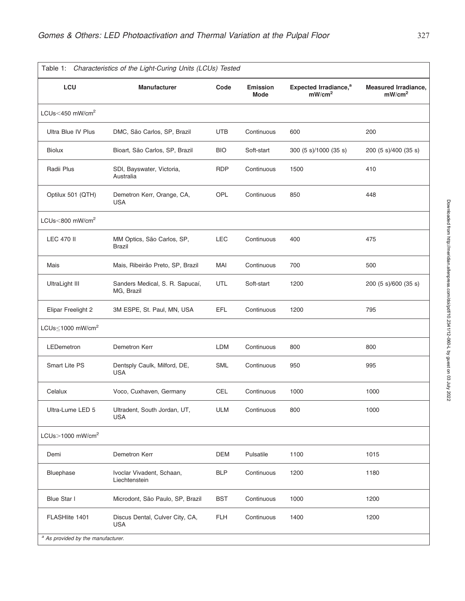| Table 1:<br>Characteristics of the Light-Curing Units (LCUs) Tested |                                               |            |                                |                                                         |                                                   |  |
|---------------------------------------------------------------------|-----------------------------------------------|------------|--------------------------------|---------------------------------------------------------|---------------------------------------------------|--|
| LCU                                                                 | <b>Manufacturer</b>                           | Code       | <b>Emission</b><br><b>Mode</b> | Expected Irradiance, <sup>a</sup><br>mW/cm <sup>2</sup> | <b>Measured Irradiance,</b><br>mW/cm <sup>2</sup> |  |
| LCUs<450 mW/cm <sup>2</sup>                                         |                                               |            |                                |                                                         |                                                   |  |
| Ultra Blue IV Plus                                                  | DMC, São Carlos, SP, Brazil                   | <b>UTB</b> | Continuous                     | 600                                                     | 200                                               |  |
| <b>Biolux</b>                                                       | Bioart, São Carlos, SP, Brazil                | <b>BIO</b> | Soft-start                     | 300 (5 s)/1000 (35 s)                                   | 200 (5 s)/400 (35 s)                              |  |
| Radii Plus                                                          | SDI, Bayswater, Victoria,<br>Australia        | <b>RDP</b> | Continuous                     | 1500                                                    | 410                                               |  |
| Optilux 501 (QTH)                                                   | Demetron Kerr, Orange, CA,<br><b>USA</b>      | OPL        | Continuous                     | 850                                                     | 448                                               |  |
| LCUs<800 mW/cm <sup>2</sup>                                         |                                               |            |                                |                                                         |                                                   |  |
| <b>LEC 470 II</b>                                                   | MM Optics, São Carlos, SP,<br><b>Brazil</b>   | <b>LEC</b> | Continuous                     | 400                                                     | 475                                               |  |
| Mais                                                                | Mais, Ribeirão Preto, SP, Brazil              | MAI        | Continuous                     | 700                                                     | 500                                               |  |
| UltraLight III                                                      | Sanders Medical, S. R. Sapucaí,<br>MG, Brazil | UTL        | Soft-start                     | 1200                                                    | 200 (5 s)/600 (35 s)                              |  |
| Elipar Freelight 2                                                  | 3M ESPE, St. Paul, MN, USA                    | EFL        | Continuous                     | 1200                                                    | 795                                               |  |
| LCUs<1000 mW/cm <sup>2</sup>                                        |                                               |            |                                |                                                         |                                                   |  |
| LEDemetron                                                          | Demetron Kerr                                 | <b>LDM</b> | Continuous                     | 800                                                     | 800                                               |  |
| <b>Smart Lite PS</b>                                                | Dentsply Caulk, Milford, DE,<br><b>USA</b>    | <b>SML</b> | Continuous                     | 950                                                     | 995                                               |  |
| Celalux                                                             | Voco, Cuxhaven, Germany                       | <b>CEL</b> | Continuous                     | 1000                                                    | 1000                                              |  |
| Ultra-Lume LED 5                                                    | Ultradent, South Jordan, UT,<br><b>USA</b>    | <b>ULM</b> | Continuous                     | 800                                                     | 1000                                              |  |
| LCUs $>$ 1000 mW/cm <sup>2</sup>                                    |                                               |            |                                |                                                         |                                                   |  |
| Demi                                                                | Demetron Kerr                                 | <b>DEM</b> | Pulsatile                      | 1100                                                    | 1015                                              |  |
| Bluephase                                                           | Ivoclar Vivadent, Schaan,<br>Liechtenstein    | <b>BLP</b> | Continuous                     | 1200                                                    | 1180                                              |  |
| Blue Star I                                                         | Microdont, São Paulo, SP, Brazil              | <b>BST</b> | Continuous                     | 1000                                                    | 1200                                              |  |
| FLASHlite 1401                                                      | Discus Dental, Culver City, CA,<br><b>USA</b> | <b>FLH</b> | Continuous                     | 1400                                                    | 1200                                              |  |
| <sup>a</sup> As provided by the manufacturer.                       |                                               |            |                                |                                                         |                                                   |  |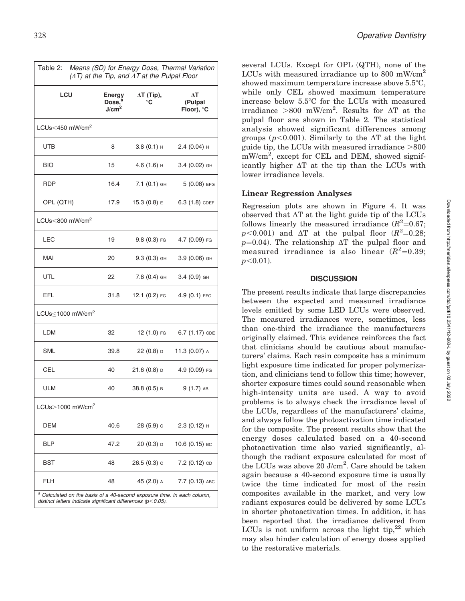| Means (SD) for Energy Dose, Thermal Variation<br>Table 2:<br>$(\Delta T)$ at the Tip, and $\Delta T$ at the Pulpal Floor |                                                                                                                                      |                         |                             |  |  |  |  |
|--------------------------------------------------------------------------------------------------------------------------|--------------------------------------------------------------------------------------------------------------------------------------|-------------------------|-----------------------------|--|--|--|--|
| LCU                                                                                                                      | <b>Energy</b><br>Dose. <sup>a</sup><br>J/cm <sup>2</sup>                                                                             | $\Delta T$ (Tip),<br>°C | ΔT<br>(Pulpal<br>Floor), °C |  |  |  |  |
| LCUs<450 mW/cm <sup>2</sup>                                                                                              |                                                                                                                                      |                         |                             |  |  |  |  |
| UTB                                                                                                                      | 8                                                                                                                                    | $3.8(0.1)$ H            | $2.4(0.04)$ H               |  |  |  |  |
| <b>BIO</b>                                                                                                               | 15                                                                                                                                   | $4.6(1.6)$ H            | 3.4 (0.02) GH               |  |  |  |  |
| <b>RDP</b>                                                                                                               | 16.4                                                                                                                                 | 7.1 (0.1) GH            | 5 (0.08) EFG                |  |  |  |  |
| OPL (QTH)                                                                                                                | 17.9                                                                                                                                 | 15.3 $(0.8)$ E          | $6.3(1.8)$ CDEF             |  |  |  |  |
| LCUs<800 mW/cm <sup>2</sup>                                                                                              |                                                                                                                                      |                         |                             |  |  |  |  |
| LEC                                                                                                                      | 19                                                                                                                                   | $9.8(0.3)$ FG           | 4.7 (0.09) FG               |  |  |  |  |
| <b>MAI</b>                                                                                                               | 20                                                                                                                                   | $9.3(0.3)$ GH           | 3.9 (0.06) GH               |  |  |  |  |
| UTL                                                                                                                      | 22                                                                                                                                   | $7.8(0.4)$ GH           | $3.4(0.9)$ GH               |  |  |  |  |
| EFL                                                                                                                      | 31.8                                                                                                                                 | 12.1 (0.2) FG           | $4.9(0.1)$ EFG              |  |  |  |  |
| LCUs $\leq$ 1000 mW/cm <sup>2</sup>                                                                                      |                                                                                                                                      |                         |                             |  |  |  |  |
| <b>LDM</b>                                                                                                               | 32                                                                                                                                   | 12 (1.0) FG             | 6.7 (1.17) CDE              |  |  |  |  |
| <b>SML</b>                                                                                                               | 39.8                                                                                                                                 | $22(0.8)$ D             | 11.3 (0.07) A               |  |  |  |  |
| CEL                                                                                                                      | 40                                                                                                                                   | $21.6(0.8)$ D           | 4.9 (0.09) FG               |  |  |  |  |
| <b>ULM</b>                                                                                                               | 40                                                                                                                                   | 38.8 (0.5) в            | $9(1.7)$ AB                 |  |  |  |  |
| $LCUs$ > 1000 mW/cm <sup>2</sup>                                                                                         |                                                                                                                                      |                         |                             |  |  |  |  |
| <b>DEM</b>                                                                                                               | 40.6                                                                                                                                 | 28 (5.9) с              | 2.3 (0.12) н                |  |  |  |  |
| <b>BLP</b>                                                                                                               | 47.2                                                                                                                                 | 20 (0.3) D              | 10.6 (0.15) вс              |  |  |  |  |
| BST                                                                                                                      | 48                                                                                                                                   | 26.5 (0.3) с            | 7.2 (0.12) ср               |  |  |  |  |
| <b>FLH</b>                                                                                                               | 48                                                                                                                                   | 45 (2.0) A              | 7.7 (0.13) авс              |  |  |  |  |
|                                                                                                                          | Calculated on the basis of a 40-second exposure time. In each column,<br>distinct letters indicate significant differences (p<0.05). |                         |                             |  |  |  |  |

several LCUs. Except for OPL (QTH), none of the LCUs with measured irradiance up to 800 mW/cm<sup>2</sup> showed maximum temperature increase above  $5.5^{\circ}$ C, while only CEL showed maximum temperature increase below  $5.5^{\circ}$ C for the LCUs with measured irradiance  $>800$  mW/cm<sup>2</sup>. Results for  $\Delta T$  at the pulpal floor are shown in Table 2. The statistical analysis showed significant differences among groups ( $p<0.001$ ). Similarly to the  $\Delta T$  at the light guide tip, the LCUs with measured irradiance  $>800$  $mW/cm^2$ , except for CEL and DEM, showed significantly higher  $\Delta T$  at the tip than the LCUs with lower irradiance levels.

# Linear Regression Analyses

Regression plots are shown in Figure 4. It was observed that  $\Delta T$  at the light guide tip of the LCUs follows linearly the measured irradiance  $(R^2=0.67;$  $p<0.001$  and  $\Delta T$  at the pulpal floor  $(R^2=0.28;$  $p=0.04$ ). The relationship  $\Delta T$  the pulpal floor and measured irradiance is also linear  $(R^2=0.39;$  $p<0.01$ ).

### **DISCUSSION**

The present results indicate that large discrepancies between the expected and measured irradiance levels emitted by some LED LCUs were observed. The measured irradiances were, sometimes, less than one-third the irradiance the manufacturers originally claimed. This evidence reinforces the fact that clinicians should be cautious about manufacturers' claims. Each resin composite has a minimum light exposure time indicated for proper polymerization, and clinicians tend to follow this time; however, shorter exposure times could sound reasonable when high-intensity units are used. A way to avoid problems is to always check the irradiance level of the LCUs, regardless of the manufacturers' claims, and always follow the photoactivation time indicated for the composite. The present results show that the energy doses calculated based on a 40-second photoactivation time also varied significantly, although the radiant exposure calculated for most of the LCUs was above  $20$  J/cm<sup>2</sup>. Care should be taken again because a 40-second exposure time is usually twice the time indicated for most of the resin composites available in the market, and very low radiant exposures could be delivered by some LCUs in shorter photoactivation times. In addition, it has been reported that the irradiance delivered from LCUs is not uniform across the light tip, $22$  which may also hinder calculation of energy doses applied to the restorative materials.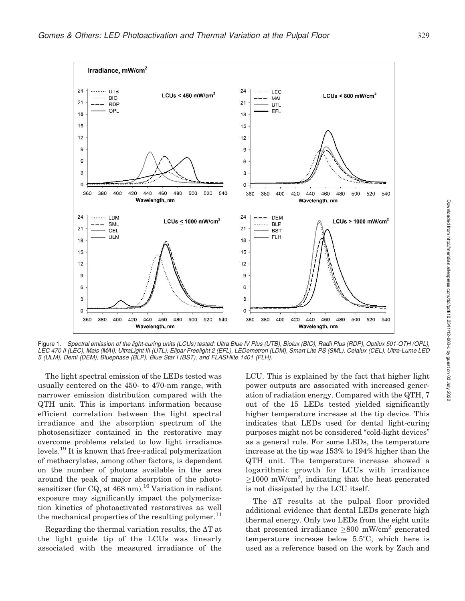

Figure 1. Spectral emission of the light-curing units (LCUs) tested: Ultra Blue IV Plus (UTB), Biolux (BIO), Radii Plus (RDP), Optilux 501-QTH (OPL), LEC 470 II (LEC), Mais (MAI), UltraLight III (UTL), Elipar Freelight 2 (EFL), LEDemetron (LDM), Smart Lite PS (SML), Celalux (CEL), Ultra-Lume LED 5 (ULM), Demi (DEM), Bluephase (BLP), Blue Star l (BST), and FLASHlite 1401 (FLH).

The light spectral emission of the LEDs tested was usually centered on the 450- to 470-nm range, with narrower emission distribution compared with the QTH unit. This is important information because efficient correlation between the light spectral irradiance and the absorption spectrum of the photosensitizer contained in the restorative may overcome problems related to low light irradiance levels.<sup>19</sup> It is known that free-radical polymerization of methacrylates, among other factors, is dependent on the number of photons available in the area around the peak of major absorption of the photosensitizer (for CQ, at  $468$  nm).<sup>16</sup> Variation in radiant exposure may significantly impact the polymerization kinetics of photoactivated restoratives as well the mechanical properties of the resulting polymer.<sup>11</sup>

Regarding the thermal variation results, the  $\Delta T$  at the light guide tip of the LCUs was linearly associated with the measured irradiance of the

LCU. This is explained by the fact that higher light power outputs are associated with increased generation of radiation energy. Compared with the QTH, 7 out of the 15 LEDs tested yielded significantly higher temperature increase at the tip device. This indicates that LEDs used for dental light-curing purposes might not be considered ''cold-light devices'' as a general rule. For some LEDs, the temperature increase at the tip was 153% to 194% higher than the QTH unit. The temperature increase showed a logarithmic growth for LCUs with irradiance  $\geq$ 1000 mW/cm<sup>2</sup>, indicating that the heat generated is not dissipated by the LCU itself.

The  $\Delta T$  results at the pulpal floor provided additional evidence that dental LEDs generate high thermal energy. Only two LEDs from the eight units that presented irradiance  $\geq 800$  mW/cm<sup>2</sup> generated temperature increase below  $5.5^{\circ}$ C, which here is used as a reference based on the work by Zach and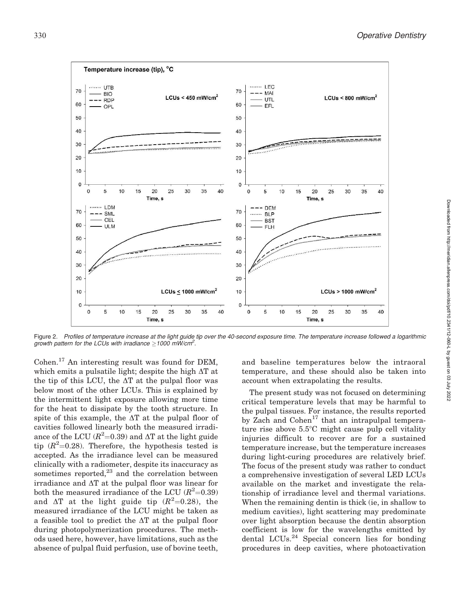

Figure 2. Profiles of temperature increase at the light guide tip over the 40-second exposure time. The temperature increase followed a logarithmic growth pattern for the LCUs with irradiance  $\geq$ 1000 mW/cm<sup>2</sup>.

Cohen.<sup>17</sup> An interesting result was found for DEM, which emits a pulsatile light; despite the high  $\Delta T$  at the tip of this LCU, the  $\Delta T$  at the pulpal floor was below most of the other LCUs. This is explained by the intermittent light exposure allowing more time for the heat to dissipate by the tooth structure. In spite of this example, the  $\Delta T$  at the pulpal floor of cavities followed linearly both the measured irradiance of the LCU ( $R^2$ =0.39) and  $\Delta$ T at the light guide tip  $(R^2=0.28)$ . Therefore, the hypothesis tested is accepted. As the irradiance level can be measured clinically with a radiometer, despite its inaccuracy as sometimes reported, $^{23}$  and the correlation between irradiance and  $\Delta T$  at the pulpal floor was linear for both the measured irradiance of the LCU  $(R^2=0.39)$ and  $\Delta T$  at the light guide tip  $(R^2=0.28)$ , the measured irradiance of the LCU might be taken as a feasible tool to predict the  $\Delta T$  at the pulpal floor during photopolymerization procedures. The methods used here, however, have limitations, such as the absence of pulpal fluid perfusion, use of bovine teeth,

and baseline temperatures below the intraoral temperature, and these should also be taken into account when extrapolating the results.

The present study was not focused on determining critical temperature levels that may be harmful to the pulpal tissues. For instance, the results reported by Zach and  $Cohen^{17}$  that an intrapulpal temperature rise above  $5.5^{\circ}$ C might cause pulp cell vitality injuries difficult to recover are for a sustained temperature increase, but the temperature increases during light-curing procedures are relatively brief. The focus of the present study was rather to conduct a comprehensive investigation of several LED LCUs available on the market and investigate the relationship of irradiance level and thermal variations. When the remaining dentin is thick (ie, in shallow to medium cavities), light scattering may predominate over light absorption because the dentin absorption coefficient is low for the wavelengths emitted by dental LCUs.<sup>24</sup> Special concern lies for bonding procedures in deep cavities, where photoactivation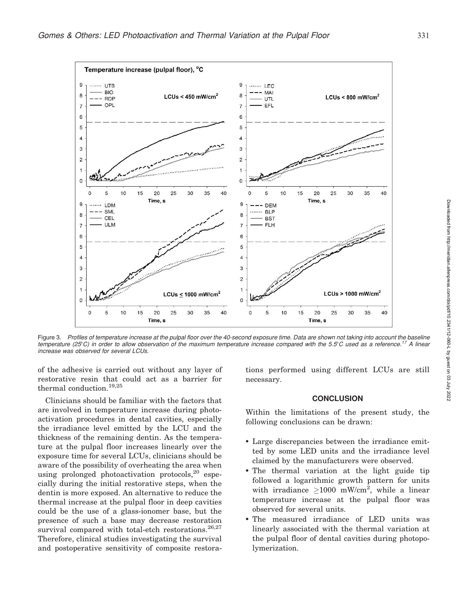

Figure 3. Profiles of temperature increase at the pulpal floor over the 40-second exposure time. Data are shown not taking into account the baseline temperature (25°C) in order to allow observation of the maximum temperature increase compared with the 5.5°C used as a reference.<sup>17</sup> A linear increase was observed for several LCUs.

of the adhesive is carried out without any layer of restorative resin that could act as a barrier for thermal conduction.19,25

Clinicians should be familiar with the factors that are involved in temperature increase during photoactivation procedures in dental cavities, especially the irradiance level emitted by the LCU and the thickness of the remaining dentin. As the temperature at the pulpal floor increases linearly over the exposure time for several LCUs, clinicians should be aware of the possibility of overheating the area when using prolonged photoactivation protocols,  $20$  especially during the initial restorative steps, when the dentin is more exposed. An alternative to reduce the thermal increase at the pulpal floor in deep cavities could be the use of a glass-ionomer base, but the presence of such a base may decrease restoration survival compared with total-etch restorations.<sup>26,27</sup> Therefore, clinical studies investigating the survival and postoperative sensitivity of composite restora-

tions performed using different LCUs are still necessary.

#### **CONCLUSION**

Within the limitations of the present study, the following conclusions can be drawn:

- Large discrepancies between the irradiance emitted by some LED units and the irradiance level claimed by the manufacturers were observed.
- The thermal variation at the light guide tip followed a logarithmic growth pattern for units with irradiance  $\geq 1000$  mW/cm<sup>2</sup>, while a linear temperature increase at the pulpal floor was observed for several units.
- The measured irradiance of LED units was linearly associated with the thermal variation at the pulpal floor of dental cavities during photopolymerization.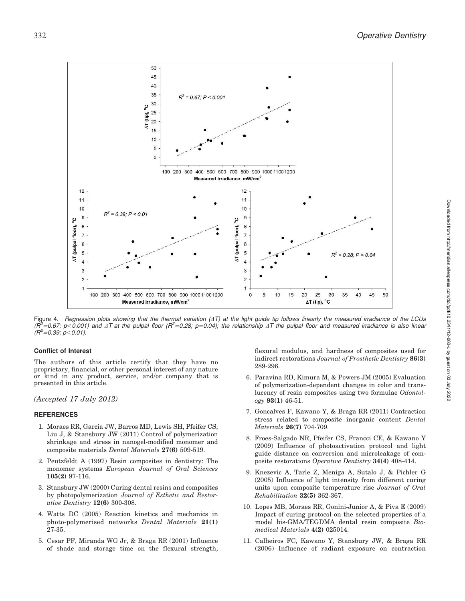

Figure 4. Regression plots showing that the thermal variation  $(AT)$  at the light guide tip follows linearly the measured irradiance of the LCUs  $(\tilde{R}^2=0.67; p<0.001)$  and  $\Delta T$  at the pulpal floor  $(R^2=0.28; p=0.04)$ ; the relationship  $\Delta T$  the pulpal floor and measured irradiance is also linear  $(R^2 = 0.39; p < 0.01)$ .

#### Conflict of Interest

The authors of this article certify that they have no proprietary, financial, or other personal interest of any nature or kind in any product, service, and/or company that is presented in this article.

#### (Accepted 17 July 2012)

#### REFERENCES

- 1. Moraes RR, Garcia JW, Barros MD, Lewis SH, Pfeifer CS, Liu J, & Stansbury JW (2011) Control of polymerization shrinkage and stress in nanogel-modified monomer and composite materials Dental Materials 27(6) 509-519.
- 2. Peutzfeldt A (1997) Resin composites in dentistry: The monomer systems European Journal of Oral Sciences 105(2) 97-116.
- 3. Stansbury JW (2000) Curing dental resins and composites by photopolymerization Journal of Esthetic and Restorative Dentistry 12(6) 300-308.
- 4. Watts DC (2005) Reaction kinetics and mechanics in photo-polymerised networks Dental Materials 21(1) 27-35.
- 5. Cesar PF, Miranda WG Jr, & Braga RR (2001) Influence of shade and storage time on the flexural strength,

flexural modulus, and hardness of composites used for indirect restorations Journal of Prosthetic Dentistry 86(3) 289-296.

- 6. Paravina RD, Kimura M, & Powers JM (2005) Evaluation of polymerization-dependent changes in color and translucency of resin composites using two formulae Odontology 93(1) 46-51.
- 7. Goncalves F, Kawano Y, & Braga RR (2011) Contraction stress related to composite inorganic content Dental Materials 26(7) 704-709.
- 8. Froes-Salgado NR, Pfeifer CS, Francci CE, & Kawano Y (2009) Influence of photoactivation protocol and light guide distance on conversion and microleakage of composite restorations Operative Dentistry 34(4) 408-414.
- 9. Knezevic A, Tarle Z, Meniga A, Sutalo J, & Pichler G (2005) Influence of light intensity from different curing units upon composite temperature rise Journal of Oral Rehabilitation 32(5) 362-367.
- 10. Lopes MB, Moraes RR, Gonini-Junior A, & Piva E (2009) Impact of curing protocol on the selected properties of a model bis-GMA/TEGDMA dental resin composite Biomedical Materials 4(2) 025014.
- 11. Calheiros FC, Kawano Y, Stansbury JW, & Braga RR (2006) Influence of radiant exposure on contraction